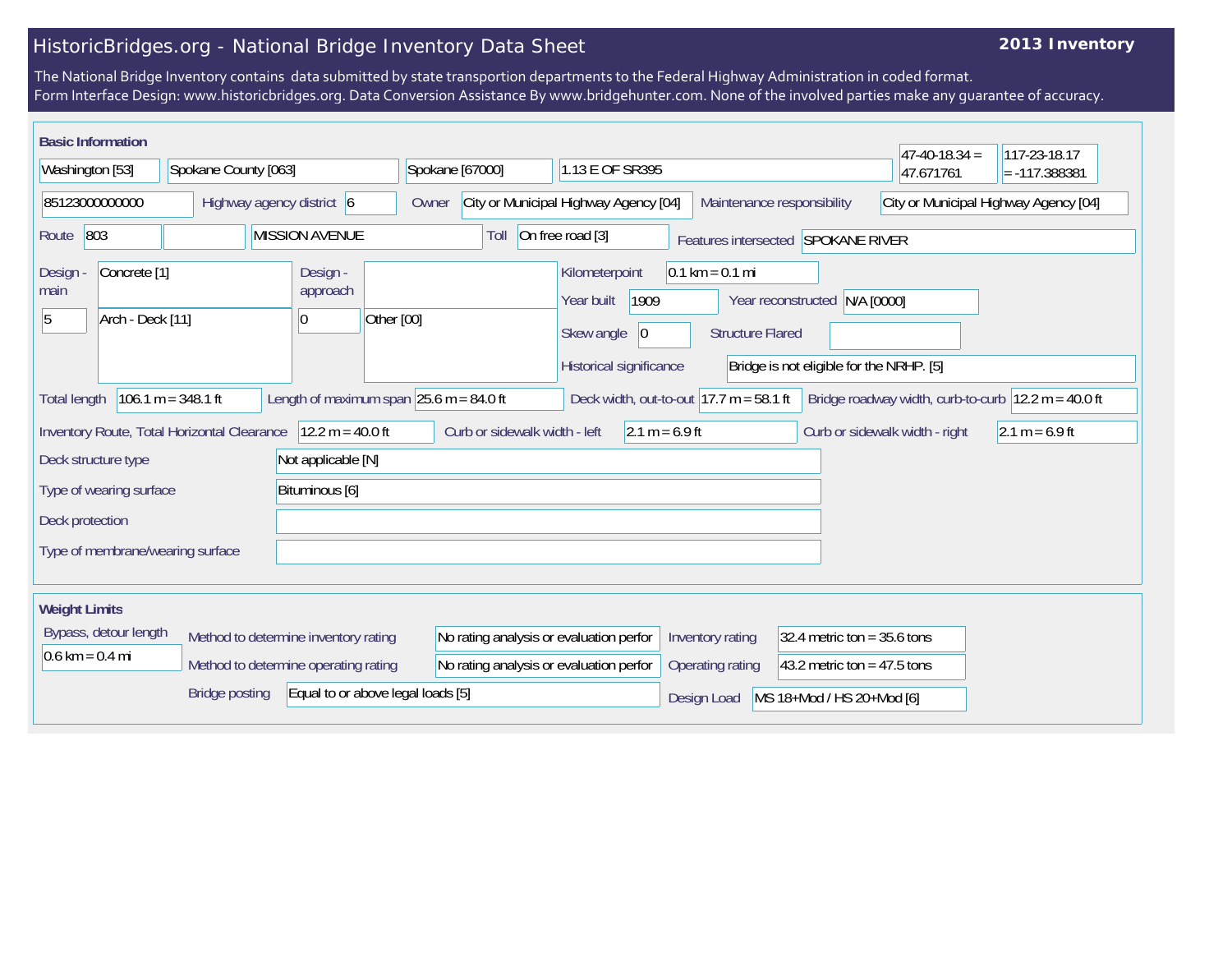# HistoricBridges.org - National Bridge Inventory Data Sheet

## **2013 Inventory**

The National Bridge Inventory contains data submitted by state transportion departments to the Federal Highway Administration in coded format. Form Interface Design: www.historicbridges.org. Data Conversion Assistance By www.bridgehunter.com. None of the involved parties make any guarantee of accuracy.

| <b>Basic Information</b>          |                                             |                                             |                                      |                                                             |                               |                                                          |                                                             |                                                          |                               | $47-40-18.34 =$                       | 117-23-18.17                                          |
|-----------------------------------|---------------------------------------------|---------------------------------------------|--------------------------------------|-------------------------------------------------------------|-------------------------------|----------------------------------------------------------|-------------------------------------------------------------|----------------------------------------------------------|-------------------------------|---------------------------------------|-------------------------------------------------------|
| Washington [53]                   |                                             | Spokane County [063]                        |                                      |                                                             | Spokane [67000]               | 1.13 E OF SR395                                          |                                                             |                                                          |                               | 47.671761                             | $= -117.388381$                                       |
| 85123000000000                    |                                             |                                             | Highway agency district 6            | Owner                                                       |                               | City or Municipal Highway Agency [04]                    |                                                             | Maintenance responsibility                               |                               | City or Municipal Highway Agency [04] |                                                       |
| 803<br>Route                      |                                             |                                             | <b>MISSION AVENUE</b>                |                                                             | Toll                          | On free road [3]                                         |                                                             | Features intersected SPOKANE RIVER                       |                               |                                       |                                                       |
| Design<br>main<br>5               | Concrete <sup>[1]</sup><br>Arch - Deck [11] |                                             | Design -<br>approach<br> 0           | Other [00]                                                  |                               | Kilometerpoint<br>1909<br>Year built<br>Skew angle<br> 0 | $0.1 \text{ km} = 0.1 \text{ mi}$                           | Year reconstructed N/A [0000]<br><b>Structure Flared</b> |                               |                                       |                                                       |
|                                   |                                             |                                             |                                      |                                                             |                               | Historical significance                                  |                                                             | Bridge is not eligible for the NRHP. [5]                 |                               |                                       |                                                       |
| <b>Total length</b>               |                                             | $106.1 m = 348.1 ft$                        |                                      | Length of maximum span $ 25.6 \text{ m} = 84.0 \text{ ft} $ |                               |                                                          | Deck width, out-to-out $ 17.7 \text{ m} = 58.1 \text{ ft} $ |                                                          |                               |                                       | Bridge roadway width, curb-to-curb $12.2 m = 40.0 ft$ |
|                                   |                                             | Inventory Route, Total Horizontal Clearance | $12.2 m = 40.0 ft$                   |                                                             | Curb or sidewalk width - left |                                                          | $2.1 m = 6.9 ft$                                            |                                                          |                               | Curb or sidewalk width - right        | $2.1 m = 6.9 ft$                                      |
| Deck structure type               |                                             |                                             | Not applicable [N]                   |                                                             |                               |                                                          |                                                             |                                                          |                               |                                       |                                                       |
|                                   | Type of wearing surface                     |                                             | Bituminous [6]                       |                                                             |                               |                                                          |                                                             |                                                          |                               |                                       |                                                       |
| Deck protection                   |                                             |                                             |                                      |                                                             |                               |                                                          |                                                             |                                                          |                               |                                       |                                                       |
|                                   |                                             | Type of membrane/wearing surface            |                                      |                                                             |                               |                                                          |                                                             |                                                          |                               |                                       |                                                       |
| <b>Weight Limits</b>              |                                             |                                             |                                      |                                                             |                               |                                                          |                                                             |                                                          |                               |                                       |                                                       |
|                                   | Bypass, detour length                       |                                             | Method to determine inventory rating |                                                             |                               | No rating analysis or evaluation perfor                  | Inventory rating                                            |                                                          | 32.4 metric ton = $35.6$ tons |                                       |                                                       |
| $0.6 \text{ km} = 0.4 \text{ mi}$ |                                             |                                             | Method to determine operating rating |                                                             |                               | No rating analysis or evaluation perfor                  | Operating rating                                            |                                                          | 43.2 metric ton = $47.5$ tons |                                       |                                                       |
|                                   |                                             | <b>Bridge posting</b>                       |                                      | Equal to or above legal loads [5]                           |                               |                                                          | Design Load                                                 | MS 18+Mod / HS 20+Mod [6]                                |                               |                                       |                                                       |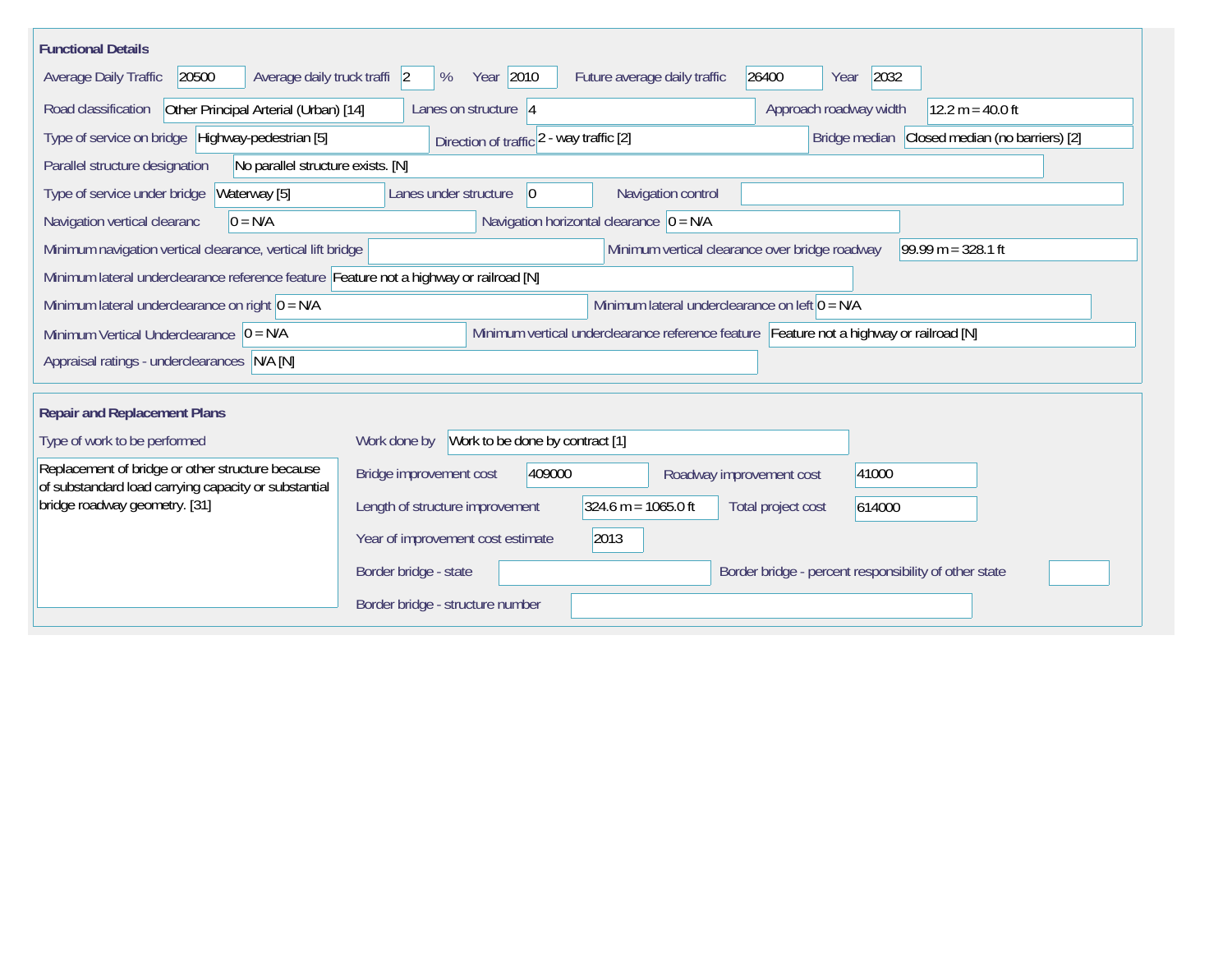| <b>Functional Details</b>                                                                                |                                                                                              |
|----------------------------------------------------------------------------------------------------------|----------------------------------------------------------------------------------------------|
| 20500<br>Average daily truck traffi 2<br>Average Daily Traffic                                           | Year 2010<br>2032<br>26400<br>%<br>Future average daily traffic<br>Year                      |
| Other Principal Arterial (Urban) [14]<br>Road classification                                             | Approach roadway width<br>$12.2 m = 40.0 ft$<br>Lanes on structure $ 4 $                     |
| Type of service on bridge Highway-pedestrian [5]                                                         | Closed median (no barriers) [2]<br>Direction of traffic 2 - way traffic [2]<br>Bridge median |
| Parallel structure designation<br>No parallel structure exists. [N]                                      |                                                                                              |
| Waterway [5]<br>Type of service under bridge                                                             | Navigation control<br>Lanes under structure<br>$\overline{0}$                                |
| Navigation vertical clearanc<br>$0 = N/A$                                                                | Navigation horizontal clearance $ 0 = N/A $                                                  |
| Minimum navigation vertical clearance, vertical lift bridge                                              | 99.99 m = $328.1$ ft<br>Minimum vertical clearance over bridge roadway                       |
| Minimum lateral underclearance reference feature Feature not a highway or railroad [N]                   |                                                                                              |
| Minimum lateral underclearance on right $0 = N/A$                                                        | Minimum lateral underclearance on left $0 = N/A$                                             |
| Minimum Vertical Underclearance $ 0 = N/A$                                                               | Minimum vertical underclearance reference feature Feature not a highway or railroad [N]      |
| Appraisal ratings - underclearances N/A [N]                                                              |                                                                                              |
|                                                                                                          |                                                                                              |
| <b>Repair and Replacement Plans</b>                                                                      |                                                                                              |
| Type of work to be performed                                                                             | Work to be done by contract [1]<br>Work done by                                              |
| Replacement of bridge or other structure because<br>of substandard load carrying capacity or substantial | 409000<br>Bridge improvement cost<br>41000<br>Roadway improvement cost                       |
| bridge roadway geometry. [31]                                                                            | $324.6 m = 1065.0 ft$<br>Length of structure improvement<br>Total project cost<br>614000     |
|                                                                                                          | 2013<br>Year of improvement cost estimate                                                    |
|                                                                                                          | Border bridge - state<br>Border bridge - percent responsibility of other state               |
|                                                                                                          | Border bridge - structure number                                                             |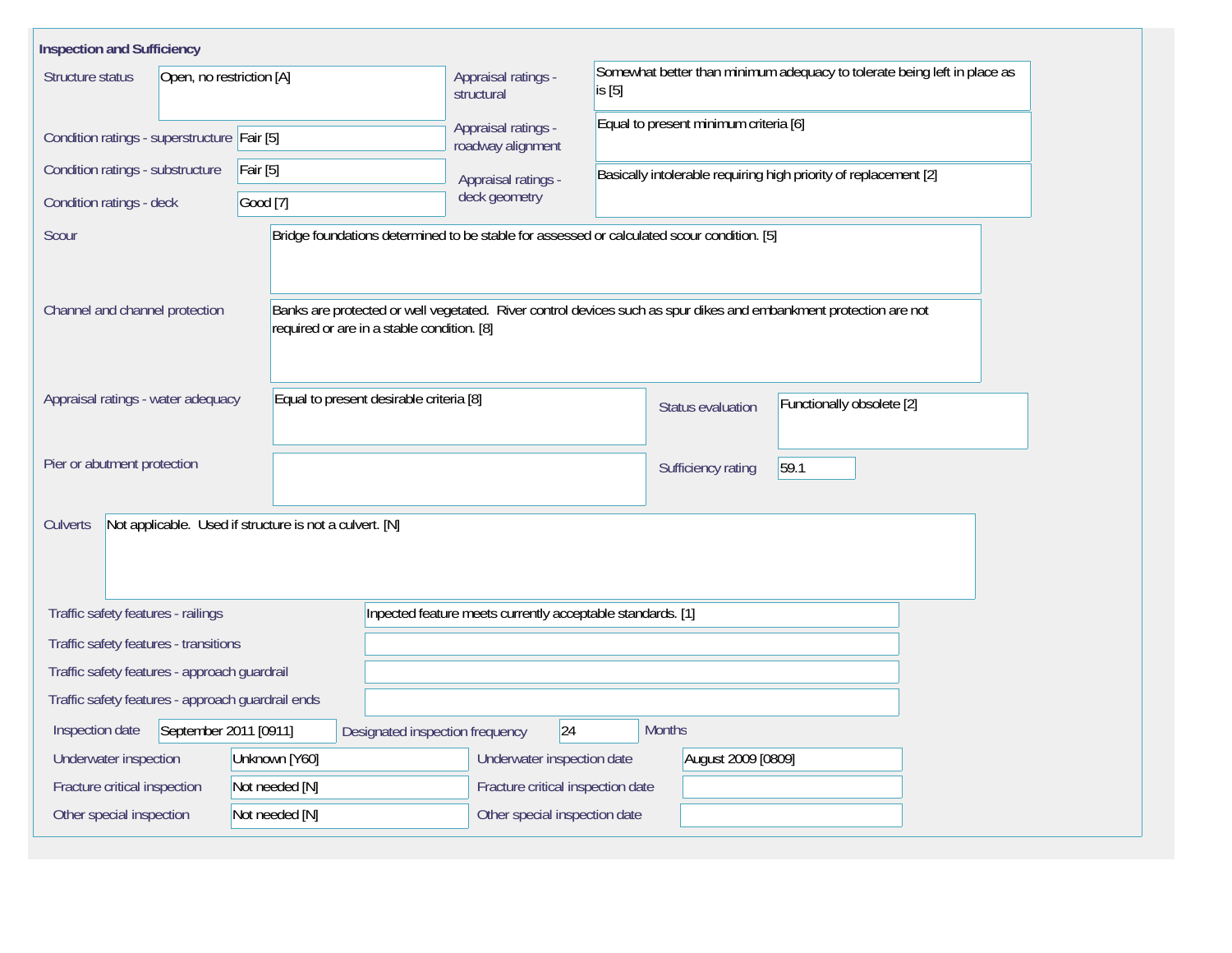| <b>Inspection and Sufficiency</b>                 |                                                         |                                                                                                                   |                                                                                    |                                                                  |                           |  |  |  |
|---------------------------------------------------|---------------------------------------------------------|-------------------------------------------------------------------------------------------------------------------|------------------------------------------------------------------------------------|------------------------------------------------------------------|---------------------------|--|--|--|
| Open, no restriction [A]<br>Structure status      |                                                         | Appraisal ratings -<br>structural                                                                                 | Somewhat better than minimum adequacy to tolerate being left in place as<br>is [5] |                                                                  |                           |  |  |  |
| Condition ratings - superstructure Fair [5]       |                                                         | Appraisal ratings -<br>roadway alignment                                                                          | Equal to present minimum criteria [6]                                              |                                                                  |                           |  |  |  |
| Condition ratings - substructure                  | Fair [5]                                                | Appraisal ratings -                                                                                               |                                                                                    | Basically intolerable requiring high priority of replacement [2] |                           |  |  |  |
| Condition ratings - deck                          | Good [7]                                                | deck geometry                                                                                                     |                                                                                    |                                                                  |                           |  |  |  |
| Scour                                             |                                                         | Bridge foundations determined to be stable for assessed or calculated scour condition. [5]                        |                                                                                    |                                                                  |                           |  |  |  |
| Channel and channel protection                    | required or are in a stable condition. [8]              | Banks are protected or well vegetated. River control devices such as spur dikes and embankment protection are not |                                                                                    |                                                                  |                           |  |  |  |
| Appraisal ratings - water adequacy                | Equal to present desirable criteria [8]                 |                                                                                                                   |                                                                                    | Status evaluation                                                | Functionally obsolete [2] |  |  |  |
| Pier or abutment protection                       |                                                         |                                                                                                                   |                                                                                    | 59.1<br>Sufficiency rating                                       |                           |  |  |  |
| Culverts                                          | Not applicable. Used if structure is not a culvert. [N] |                                                                                                                   |                                                                                    |                                                                  |                           |  |  |  |
| Traffic safety features - railings                |                                                         | Inpected feature meets currently acceptable standards. [1]                                                        |                                                                                    |                                                                  |                           |  |  |  |
| Traffic safety features - transitions             |                                                         |                                                                                                                   |                                                                                    |                                                                  |                           |  |  |  |
| Traffic safety features - approach guardrail      |                                                         |                                                                                                                   |                                                                                    |                                                                  |                           |  |  |  |
| Traffic safety features - approach guardrail ends |                                                         |                                                                                                                   |                                                                                    |                                                                  |                           |  |  |  |
| September 2011 [0911]<br>Inspection date          |                                                         | 24<br>Designated inspection frequency                                                                             | <b>Months</b>                                                                      |                                                                  |                           |  |  |  |
| Underwater inspection                             | Unknown [Y60]                                           | Underwater inspection date                                                                                        |                                                                                    | August 2009 [0809]                                               |                           |  |  |  |
| Fracture critical inspection                      | Not needed [N]                                          | Fracture critical inspection date                                                                                 |                                                                                    |                                                                  |                           |  |  |  |
| Other special inspection                          | Not needed [N]                                          |                                                                                                                   | Other special inspection date                                                      |                                                                  |                           |  |  |  |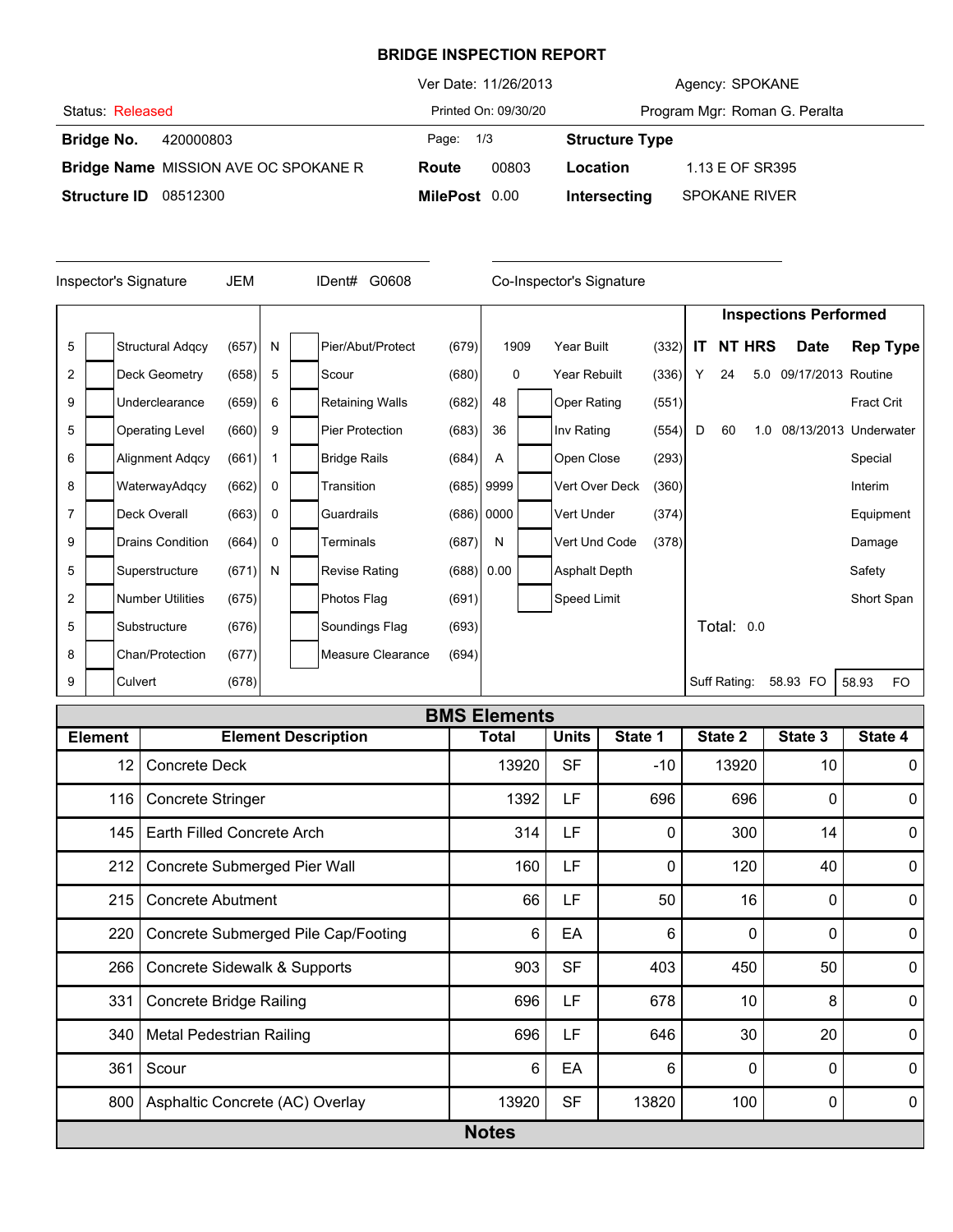## **BRIDGE INSPECTION REPORT**

|                     |                                             |               | Ver Date: 11/26/2013 |                       | Agency: SPOKANE               |
|---------------------|---------------------------------------------|---------------|----------------------|-----------------------|-------------------------------|
| Status: Released    |                                             |               | Printed On: 09/30/20 |                       | Program Mgr: Roman G. Peralta |
| Bridge No.          | 420000803                                   | Page: 1/3     |                      | <b>Structure Type</b> |                               |
|                     | <b>Bridge Name</b> MISSION AVE OC SPOKANE R | Route         | 00803                | Location              | 1.13 E OF SR395               |
| <b>Structure ID</b> | 08512300                                    | MilePost 0.00 |                      | Intersecting          | <b>SPOKANE RIVER</b>          |

| JEM<br>G0608<br>Inspector's Signature<br>IDent# |  |                         |       |   |  |                        | Co-Inspector's Signature |              |                      |       |     |              |               |                              |            |                 |
|-------------------------------------------------|--|-------------------------|-------|---|--|------------------------|--------------------------|--------------|----------------------|-------|-----|--------------|---------------|------------------------------|------------|-----------------|
|                                                 |  |                         |       |   |  |                        |                          |              |                      |       |     |              |               | <b>Inspections Performed</b> |            |                 |
| 5                                               |  | <b>Structural Adgcy</b> | (657) | N |  | Pier/Abut/Protect      | (679)                    | 1909         | Year Built           | (332) | IT. |              | <b>NT HRS</b> | <b>Date</b>                  |            | <b>Rep Type</b> |
| $\overline{2}$                                  |  | Deck Geometry           | (658) | 5 |  | Scour                  | (680)                    | 0            | Year Rebuilt         | (336) | Y   | 24           | 5.0           | 09/17/2013 Routine           |            |                 |
| 9                                               |  | Underclearance          | (659) | 6 |  | <b>Retaining Walls</b> | (682)                    | 48           | <b>Oper Rating</b>   | (551) |     |              |               |                              | Fract Crit |                 |
| 5                                               |  | <b>Operating Level</b>  | (660) | 9 |  | <b>Pier Protection</b> | (683)                    | 36           | Inv Rating           | (554) | D   | 60           | 1.0           | 08/13/2013 Underwater        |            |                 |
| 6                                               |  | <b>Alignment Adgcy</b>  | (661) |   |  | <b>Bridge Rails</b>    | (684)                    | Α            | Open Close           | (293) |     |              |               |                              | Special    |                 |
| 8                                               |  | WaterwayAdqcy           | (662) | 0 |  | Transition             |                          | $(685)$ 9999 | Vert Over Deck       | (360) |     |              |               |                              | Interim    |                 |
| $\overline{7}$                                  |  | Deck Overall            | (663) | 0 |  | Guardrails             |                          | (686) 0000   | Vert Under           | (374) |     |              |               |                              | Equipment  |                 |
| 9                                               |  | <b>Drains Condition</b> | (664) | 0 |  | Terminals              | (687)                    | N            | Vert Und Code        | (378) |     |              |               |                              | Damage     |                 |
| 5                                               |  | Superstructure          | (671) | N |  | <b>Revise Rating</b>   |                          | (688) 0.00   | <b>Asphalt Depth</b> |       |     |              |               |                              | Safety     |                 |
| $\overline{2}$                                  |  | <b>Number Utilities</b> | (675) |   |  | Photos Flag            | (691)                    |              | Speed Limit          |       |     |              |               |                              | Short Span |                 |
| 5                                               |  | Substructure            | (676) |   |  | Soundings Flag         | (693)                    |              |                      |       |     | Total: 0.0   |               |                              |            |                 |
| 8                                               |  | Chan/Protection         | (677) |   |  | Measure Clearance      | (694)                    |              |                      |       |     |              |               |                              |            |                 |
| 9                                               |  | Culvert                 | (678) |   |  |                        |                          |              |                      |       |     | Suff Rating: |               | 58.93 FO                     | 58.93      | <b>FO</b>       |

|                | <b>BMS Elements</b>                 |              |              |          |              |         |              |  |  |  |  |  |  |
|----------------|-------------------------------------|--------------|--------------|----------|--------------|---------|--------------|--|--|--|--|--|--|
| <b>Element</b> | <b>Element Description</b>          | <b>Total</b> | <b>Units</b> | State 1  | State 2      | State 3 | State 4      |  |  |  |  |  |  |
| 12             | <b>Concrete Deck</b>                | 13920        | <b>SF</b>    | $-10$    | 13920        | 10      | $\mathbf{0}$ |  |  |  |  |  |  |
| 116            | <b>Concrete Stringer</b>            | 1392         | LF           | 696      | 696          | 0       | $\mathbf{0}$ |  |  |  |  |  |  |
| 145            | Earth Filled Concrete Arch          | 314          | LF           | $\Omega$ | 300          | 14      | $\mathbf 0$  |  |  |  |  |  |  |
| 212            | Concrete Submerged Pier Wall        | 160          | LF           | 0        | 120          | 40      | $\mathbf 0$  |  |  |  |  |  |  |
| 215            | <b>Concrete Abutment</b>            | 66           | LF           | 50       | 16           | 0       | $\mathbf{0}$ |  |  |  |  |  |  |
| 220            | Concrete Submerged Pile Cap/Footing | 6            | EA           | 6        | $\mathbf{0}$ | 0       | $\mathbf 0$  |  |  |  |  |  |  |
| 266            | Concrete Sidewalk & Supports        | 903          | <b>SF</b>    | 403      | 450          | 50      | $\mathbf 0$  |  |  |  |  |  |  |
| 331            | <b>Concrete Bridge Railing</b>      | 696          | LF           | 678      | 10           | 8       | $\mathbf{0}$ |  |  |  |  |  |  |
| 340            | Metal Pedestrian Railing            | 696          | LF           | 646      | 30           | 20      | $\mathbf{0}$ |  |  |  |  |  |  |
| 361            | Scour                               | 6            | EA           | 6        | 0            | 0       | $\mathbf{0}$ |  |  |  |  |  |  |
| 800            | Asphaltic Concrete (AC) Overlay     | 13920        | <b>SF</b>    | 13820    | 100          | 0       | $\mathbf 0$  |  |  |  |  |  |  |
|                |                                     | <b>Notes</b> |              |          |              |         |              |  |  |  |  |  |  |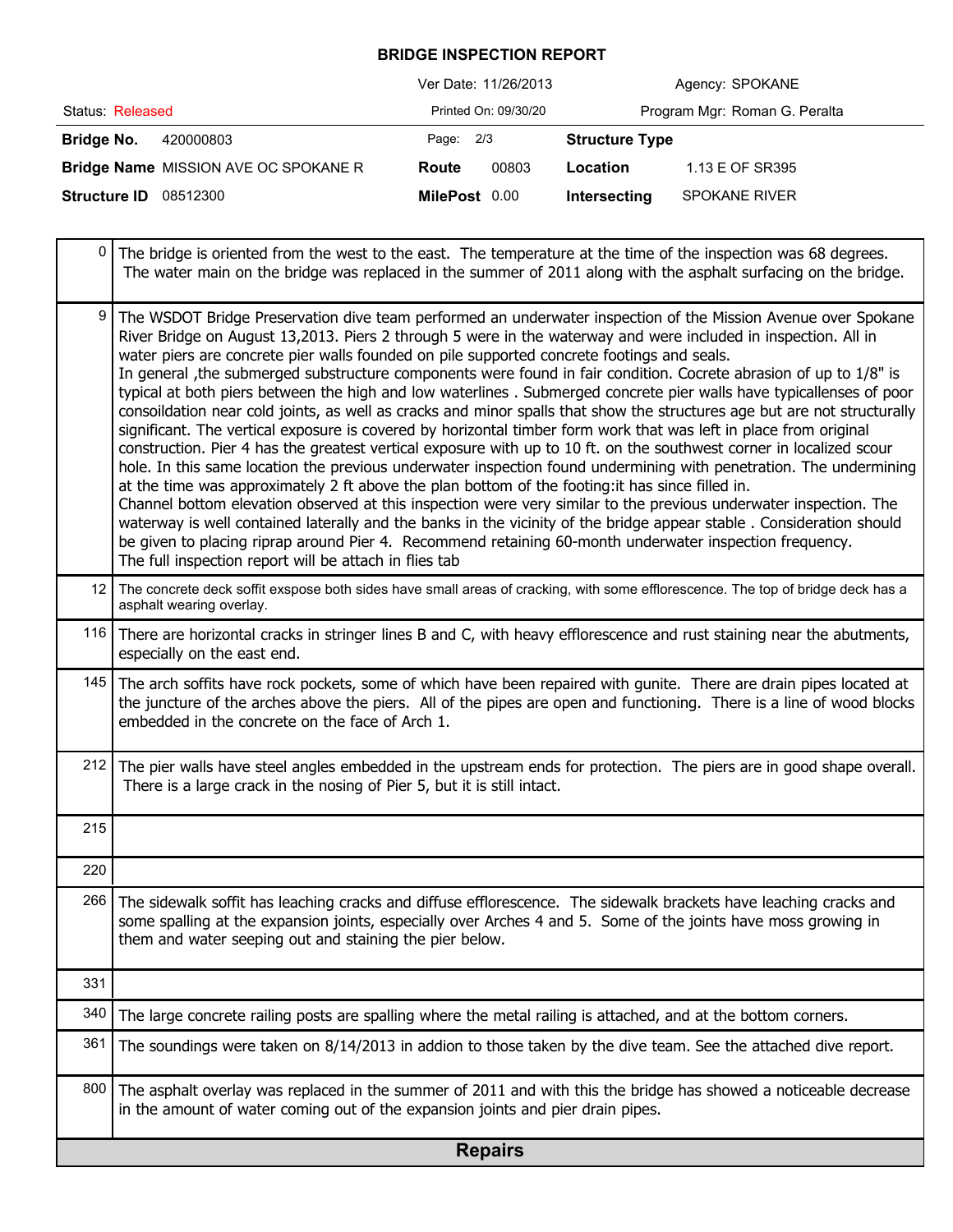## **BRIDGE INSPECTION REPORT**

|                     |                                      | Ver Date: 11/26/2013 |                      |                       | Agency: SPOKANE               |
|---------------------|--------------------------------------|----------------------|----------------------|-----------------------|-------------------------------|
| Status: Released    |                                      |                      | Printed On: 09/30/20 |                       | Program Mgr: Roman G. Peralta |
| Bridge No.          | 420000803                            | Page: 2/3            |                      | <b>Structure Type</b> |                               |
|                     | Bridge Name MISSION AVE OC SPOKANE R | Route                | 00803                | Location              | 1.13 E OF SR395               |
| <b>Structure ID</b> | 08512300                             | MilePost 0.00        |                      | Intersecting          | <b>SPOKANE RIVER</b>          |

|                 | <b>Repairs</b>                                                                                                                                                                                                                                                                                                                                                                                                                                                                                                                                                                                                                                                                                                                                                                                                                                                                                                                                                                                                                                                                                                                                                                                                                                                                                                                                                                                                                                                                                                                                                                                  |
|-----------------|-------------------------------------------------------------------------------------------------------------------------------------------------------------------------------------------------------------------------------------------------------------------------------------------------------------------------------------------------------------------------------------------------------------------------------------------------------------------------------------------------------------------------------------------------------------------------------------------------------------------------------------------------------------------------------------------------------------------------------------------------------------------------------------------------------------------------------------------------------------------------------------------------------------------------------------------------------------------------------------------------------------------------------------------------------------------------------------------------------------------------------------------------------------------------------------------------------------------------------------------------------------------------------------------------------------------------------------------------------------------------------------------------------------------------------------------------------------------------------------------------------------------------------------------------------------------------------------------------|
| 800             | The asphalt overlay was replaced in the summer of 2011 and with this the bridge has showed a noticeable decrease<br>in the amount of water coming out of the expansion joints and pier drain pipes.                                                                                                                                                                                                                                                                                                                                                                                                                                                                                                                                                                                                                                                                                                                                                                                                                                                                                                                                                                                                                                                                                                                                                                                                                                                                                                                                                                                             |
| 361             | The soundings were taken on 8/14/2013 in addion to those taken by the dive team. See the attached dive report.                                                                                                                                                                                                                                                                                                                                                                                                                                                                                                                                                                                                                                                                                                                                                                                                                                                                                                                                                                                                                                                                                                                                                                                                                                                                                                                                                                                                                                                                                  |
| 340             | The large concrete railing posts are spalling where the metal railing is attached, and at the bottom corners.                                                                                                                                                                                                                                                                                                                                                                                                                                                                                                                                                                                                                                                                                                                                                                                                                                                                                                                                                                                                                                                                                                                                                                                                                                                                                                                                                                                                                                                                                   |
| 331             |                                                                                                                                                                                                                                                                                                                                                                                                                                                                                                                                                                                                                                                                                                                                                                                                                                                                                                                                                                                                                                                                                                                                                                                                                                                                                                                                                                                                                                                                                                                                                                                                 |
|                 | some spalling at the expansion joints, especially over Arches 4 and 5. Some of the joints have moss growing in<br>them and water seeping out and staining the pier below.                                                                                                                                                                                                                                                                                                                                                                                                                                                                                                                                                                                                                                                                                                                                                                                                                                                                                                                                                                                                                                                                                                                                                                                                                                                                                                                                                                                                                       |
| 266             | The sidewalk soffit has leaching cracks and diffuse efflorescence. The sidewalk brackets have leaching cracks and                                                                                                                                                                                                                                                                                                                                                                                                                                                                                                                                                                                                                                                                                                                                                                                                                                                                                                                                                                                                                                                                                                                                                                                                                                                                                                                                                                                                                                                                               |
| 220             |                                                                                                                                                                                                                                                                                                                                                                                                                                                                                                                                                                                                                                                                                                                                                                                                                                                                                                                                                                                                                                                                                                                                                                                                                                                                                                                                                                                                                                                                                                                                                                                                 |
| 215             |                                                                                                                                                                                                                                                                                                                                                                                                                                                                                                                                                                                                                                                                                                                                                                                                                                                                                                                                                                                                                                                                                                                                                                                                                                                                                                                                                                                                                                                                                                                                                                                                 |
| 212             | The pier walls have steel angles embedded in the upstream ends for protection. The piers are in good shape overall.<br>There is a large crack in the nosing of Pier 5, but it is still intact.                                                                                                                                                                                                                                                                                                                                                                                                                                                                                                                                                                                                                                                                                                                                                                                                                                                                                                                                                                                                                                                                                                                                                                                                                                                                                                                                                                                                  |
| 145             | The arch soffits have rock pockets, some of which have been repaired with gunite. There are drain pipes located at<br>the juncture of the arches above the piers. All of the pipes are open and functioning. There is a line of wood blocks<br>embedded in the concrete on the face of Arch 1.                                                                                                                                                                                                                                                                                                                                                                                                                                                                                                                                                                                                                                                                                                                                                                                                                                                                                                                                                                                                                                                                                                                                                                                                                                                                                                  |
| 116             | There are horizontal cracks in stringer lines B and C, with heavy efflorescence and rust staining near the abutments,<br>especially on the east end.                                                                                                                                                                                                                                                                                                                                                                                                                                                                                                                                                                                                                                                                                                                                                                                                                                                                                                                                                                                                                                                                                                                                                                                                                                                                                                                                                                                                                                            |
| 12 <sup>2</sup> | The concrete deck soffit exspose both sides have small areas of cracking, with some efflorescence. The top of bridge deck has a<br>asphalt wearing overlay.                                                                                                                                                                                                                                                                                                                                                                                                                                                                                                                                                                                                                                                                                                                                                                                                                                                                                                                                                                                                                                                                                                                                                                                                                                                                                                                                                                                                                                     |
| 9               | The WSDOT Bridge Preservation dive team performed an underwater inspection of the Mission Avenue over Spokane<br>River Bridge on August 13,2013. Piers 2 through 5 were in the waterway and were included in inspection. All in<br>water piers are concrete pier walls founded on pile supported concrete footings and seals.<br>In general , the submerged substructure components were found in fair condition. Cocrete abrasion of up to 1/8" is<br>typical at both piers between the high and low waterlines. Submerged concrete pier walls have typicallenses of poor<br>consoildation near cold joints, as well as cracks and minor spalls that show the structures age but are not structurally<br>significant. The vertical exposure is covered by horizontal timber form work that was left in place from original<br>construction. Pier 4 has the greatest vertical exposure with up to 10 ft. on the southwest corner in localized scour<br>hole. In this same location the previous underwater inspection found undermining with penetration. The undermining<br>at the time was approximately 2 ft above the plan bottom of the footing: it has since filled in.<br>Channel bottom elevation observed at this inspection were very similar to the previous underwater inspection. The<br>waterway is well contained laterally and the banks in the vicinity of the bridge appear stable. Consideration should<br>be given to placing riprap around Pier 4. Recommend retaining 60-month underwater inspection frequency.<br>The full inspection report will be attach in flies tab |
| 0               | The bridge is oriented from the west to the east. The temperature at the time of the inspection was 68 degrees.<br>The water main on the bridge was replaced in the summer of 2011 along with the asphalt surfacing on the bridge.                                                                                                                                                                                                                                                                                                                                                                                                                                                                                                                                                                                                                                                                                                                                                                                                                                                                                                                                                                                                                                                                                                                                                                                                                                                                                                                                                              |